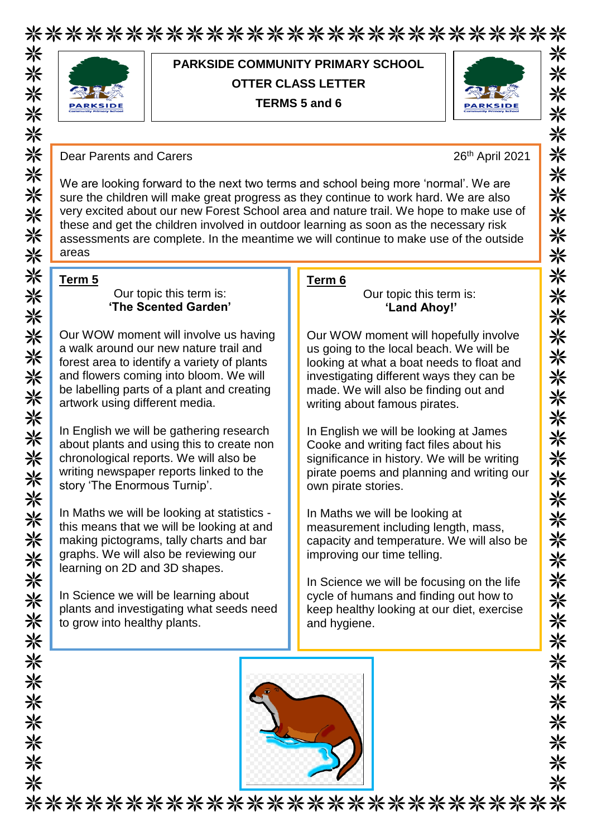\*\*\*\*\*\*\*\*\*\*\*\*\*\*\*\*\*\*\*\*\*\*\*\*\*\*\* 米米米



## **PARKSIDE COMMUNITY PRIMARY SCHOOL OTTER CLASS LETTER TERMS 5 and 6**



Dear Parents and Carers 20th April 2021

We are looking forward to the next two terms and school being more 'normal'. We are sure the children will make great progress as they continue to work hard. We are also very excited about our new Forest School area and nature trail. We hope to make use of these and get the children involved in outdoor learning as soon as the necessary risk assessments are complete. In the meantime we will continue to make use of the outside areas

#### **Term 5**

\*\*\*\*\*\*\*\*\*\*\*\*\*\*\*\*

米米米米米

米米米米米米米米

关米米米

\*\*\*\*\*\*\*\*

#### Our topic this term is: **'The Scented Garden'**

Our WOW moment will involve us having a walk around our new nature trail and forest area to identify a variety of plants and flowers coming into bloom. We will be labelling parts of a plant and creating artwork using different media.

In English we will be gathering research about plants and using this to create non chronological reports. We will also be writing newspaper reports linked to the story 'The Enormous Turnip'.

In Maths we will be looking at statistics this means that we will be looking at and making pictograms, tally charts and bar graphs. We will also be reviewing our learning on 2D and 3D shapes.

In Science we will be learning about plants and investigating what seeds need to grow into healthy plants.

### **Term 6**

#### Our topic this term is: **'Land Ahoy!'**

Our WOW moment will hopefully involve us going to the local beach. We will be looking at what a boat needs to float and investigating different ways they can be made. We will also be finding out and writing about famous pirates.

In English we will be looking at James Cooke and writing fact files about his significance in history. We will be writing pirate poems and planning and writing our own pirate stories.

In Maths we will be looking at measurement including length, mass, capacity and temperature. We will also be improving our time telling.

In Science we will be focusing on the life cycle of humans and finding out how to keep healthy looking at our diet, exercise and hygiene.



\*\*\*\*\*\*\*\*\*\*\*\*\*\*\*\*\*\*\*\*\*\*\*\*\*\*\*\*